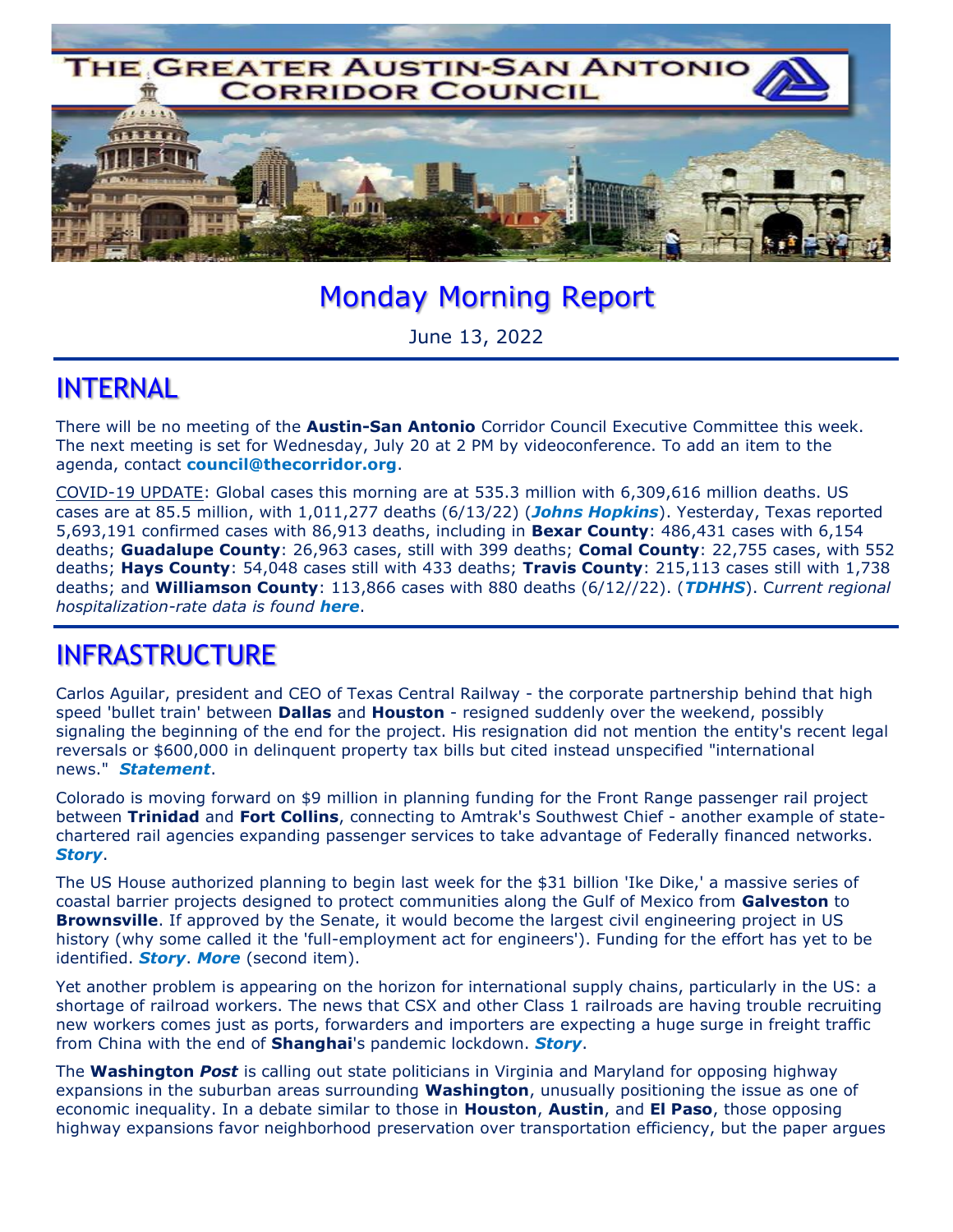

# Monday Morning Report

June 13, 2022

#### INTERNAL

There will be no meeting of the **Austin-San Antonio** Corridor Council Executive Committee this week. The next meeting is set for Wednesday, July 20 at 2 PM by videoconference. To add an item to the agenda, contact **council@thecorridor.org**.

COVID-19 UPDATE: Global cases this morning are at 535.3 million with 6,309,616 million deaths. US cases are at 85.5 million, with 1,011,277 deaths (6/13/22) (*Johns Hopkins*). Yesterday, Texas reported 5,693,191 confirmed cases with 86,913 deaths, including in **Bexar County**: 486,431 cases with 6,154 deaths; **Guadalupe County**: 26,963 cases, still with 399 deaths; **Comal County**: 22,755 cases, with 552 deaths; **Hays County**: 54,048 cases still with 433 deaths; **Travis County**: 215,113 cases still with 1,738 deaths; and **Williamson County**: 113,866 cases with 880 deaths (6/12//22). (*TDHHS*). C*urrent regional hospitalization-rate data is found here*.

#### INFRASTRUCTURE

Carlos Aguilar, president and CEO of Texas Central Railway - the corporate partnership behind that high speed 'bullet train' between **Dallas** and **Houston** - resigned suddenly over the weekend, possibly signaling the beginning of the end for the project. His resignation did not mention the entity's recent legal reversals or \$600,000 in delinquent property tax bills but cited instead unspecified "international news." *Statement*.

Colorado is moving forward on \$9 million in planning funding for the Front Range passenger rail project between **Trinidad** and **Fort Collins**, connecting to Amtrak's Southwest Chief - another example of statechartered rail agencies expanding passenger services to take advantage of Federally financed networks. *Story*.

The US House authorized planning to begin last week for the \$31 billion 'Ike Dike,' a massive series of coastal barrier projects designed to protect communities along the Gulf of Mexico from **Galveston** to **Brownsville**. If approved by the Senate, it would become the largest civil engineering project in US history (why some called it the 'full-employment act for engineers'). Funding for the effort has yet to be identified. *Story*. *More* (second item).

Yet another problem is appearing on the horizon for international supply chains, particularly in the US: a shortage of railroad workers. The news that CSX and other Class 1 railroads are having trouble recruiting new workers comes just as ports, forwarders and importers are expecting a huge surge in freight traffic from China with the end of **Shanghai**'s pandemic lockdown. *Story*.

The **Washington** *Post* is calling out state politicians in Virginia and Maryland for opposing highway expansions in the suburban areas surrounding **Washington**, unusually positioning the issue as one of economic inequality. In a debate similar to those in **Houston**, **Austin**, and **El Paso**, those opposing highway expansions favor neighborhood preservation over transportation efficiency, but the paper argues